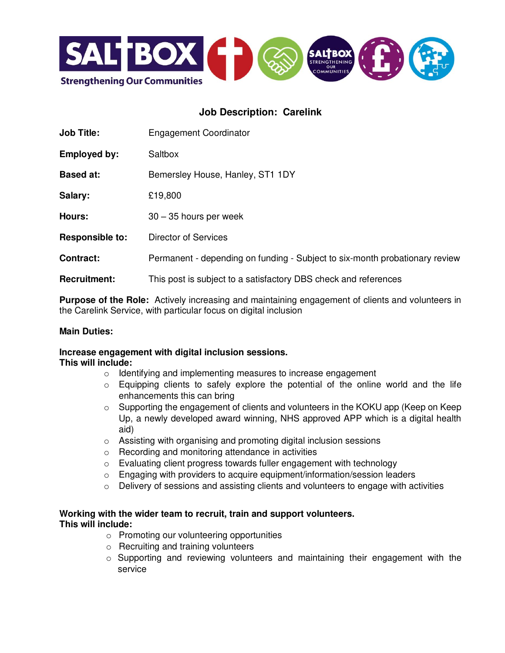

# **Job Description: Carelink**

| <b>Job Title:</b>      | <b>Engagement Coordinator</b>                                               |  |
|------------------------|-----------------------------------------------------------------------------|--|
| <b>Employed by:</b>    | Saltbox                                                                     |  |
| <b>Based at:</b>       | Bemersley House, Hanley, ST1 1DY                                            |  |
| Salary:                | £19,800                                                                     |  |
| Hours:                 | $30 - 35$ hours per week                                                    |  |
| <b>Responsible to:</b> | <b>Director of Services</b>                                                 |  |
| <b>Contract:</b>       | Permanent - depending on funding - Subject to six-month probationary review |  |
| <b>Recruitment:</b>    | This post is subject to a satisfactory DBS check and references             |  |

**Purpose of the Role:** Actively increasing and maintaining engagement of clients and volunteers in the Carelink Service, with particular focus on digital inclusion

### **Main Duties:**

#### **Increase engagement with digital inclusion sessions. This will include:**

- o Identifying and implementing measures to increase engagement
- $\circ$  Equipping clients to safely explore the potential of the online world and the life enhancements this can bring
- o Supporting the engagement of clients and volunteers in the KOKU app (Keep on Keep Up, a newly developed award winning, NHS approved APP which is a digital health aid)
- o Assisting with organising and promoting digital inclusion sessions
- o Recording and monitoring attendance in activities
- o Evaluating client progress towards fuller engagement with technology
- o Engaging with providers to acquire equipment/information/session leaders
- o Delivery of sessions and assisting clients and volunteers to engage with activities

#### **Working with the wider team to recruit, train and support volunteers. This will include:**

- o Promoting our volunteering opportunities
- o Recruiting and training volunteers
- o Supporting and reviewing volunteers and maintaining their engagement with the service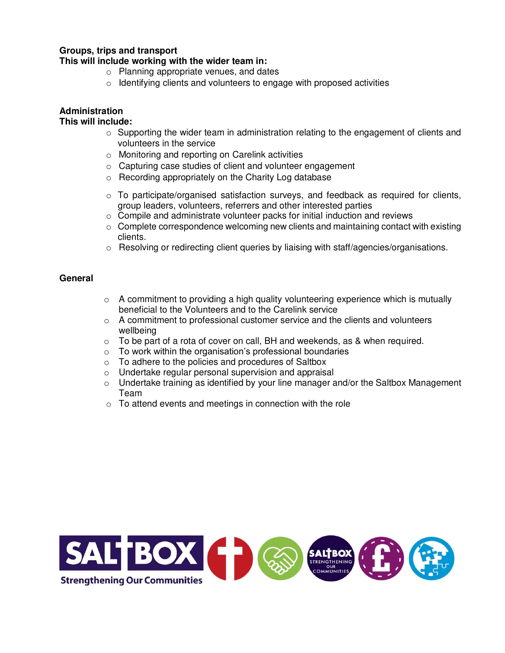### **Groups, trips and transport**

#### **This will include working with the wider team in:**

- o Planning appropriate venues, and dates
- o Identifying clients and volunteers to engage with proposed activities

## **Administration**

#### **This will include:**

- $\circ$  Supporting the wider team in administration relating to the engagement of clients and volunteers in the service
- o Monitoring and reporting on Carelink activities
- o Capturing case studies of client and volunteer engagement
- o Recording appropriately on the Charity Log database
- o To participate/organised satisfaction surveys, and feedback as required for clients, group leaders, volunteers, referrers and other interested parties
- o Compile and administrate volunteer packs for initial induction and reviews
- $\circ$  Complete correspondence welcoming new clients and maintaining contact with existing clients.
- $\circ$  Resolving or redirecting client queries by liaising with staff/agencies/organisations.

#### **General**

- $\circ$  A commitment to providing a high quality volunteering experience which is mutually beneficial to the Volunteers and to the Carelink service
- o A commitment to professional customer service and the clients and volunteers wellbeing
- $\circ$  To be part of a rota of cover on call, BH and weekends, as & when required.
- $\circ$  To work within the organisation's professional boundaries
- o To adhere to the policies and procedures of Saltbox
- o Undertake regular personal supervision and appraisal
- o Undertake training as identified by your line manager and/or the Saltbox Management Team
- $\circ$  To attend events and meetings in connection with the role

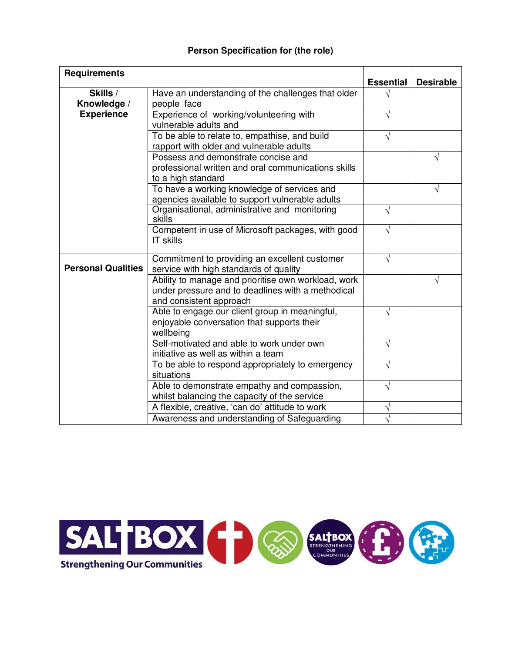### **Person Specification for (the role)**

| <b>Requirements</b>       |                                                                                                                                     | <b>Essential</b> | <b>Desirable</b> |
|---------------------------|-------------------------------------------------------------------------------------------------------------------------------------|------------------|------------------|
| Skills /<br>Knowledge /   | Have an understanding of the challenges that older<br>people face                                                                   |                  |                  |
| <b>Experience</b>         | Experience of working/volunteering with<br>vulnerable adults and                                                                    |                  |                  |
|                           | To be able to relate to, empathise, and build<br>rapport with older and vulnerable adults                                           | V                |                  |
|                           | Possess and demonstrate concise and<br>professional written and oral communications skills<br>to a high standard                    |                  | V                |
|                           | To have a working knowledge of services and<br>agencies available to support vulnerable adults                                      |                  | V                |
|                           | Organisational, administrative and monitoring<br>skills                                                                             | V                |                  |
|                           | Competent in use of Microsoft packages, with good<br><b>IT skills</b>                                                               |                  |                  |
| <b>Personal Qualities</b> | Commitment to providing an excellent customer<br>service with high standards of quality                                             | J                |                  |
|                           | Ability to manage and prioritise own workload, work<br>under pressure and to deadlines with a methodical<br>and consistent approach |                  | V                |
|                           | Able to engage our client group in meaningful,<br>enjoyable conversation that supports their<br>wellbeing                           |                  |                  |
|                           | Self-motivated and able to work under own<br>initiative as well as within a team                                                    | V                |                  |
|                           | To be able to respond appropriately to emergency<br>situations                                                                      | V                |                  |
|                           | Able to demonstrate empathy and compassion,<br>whilst balancing the capacity of the service                                         | J                |                  |
|                           | A flexible, creative, 'can do' attitude to work                                                                                     |                  |                  |
|                           | Awareness and understanding of Safeguarding                                                                                         |                  |                  |